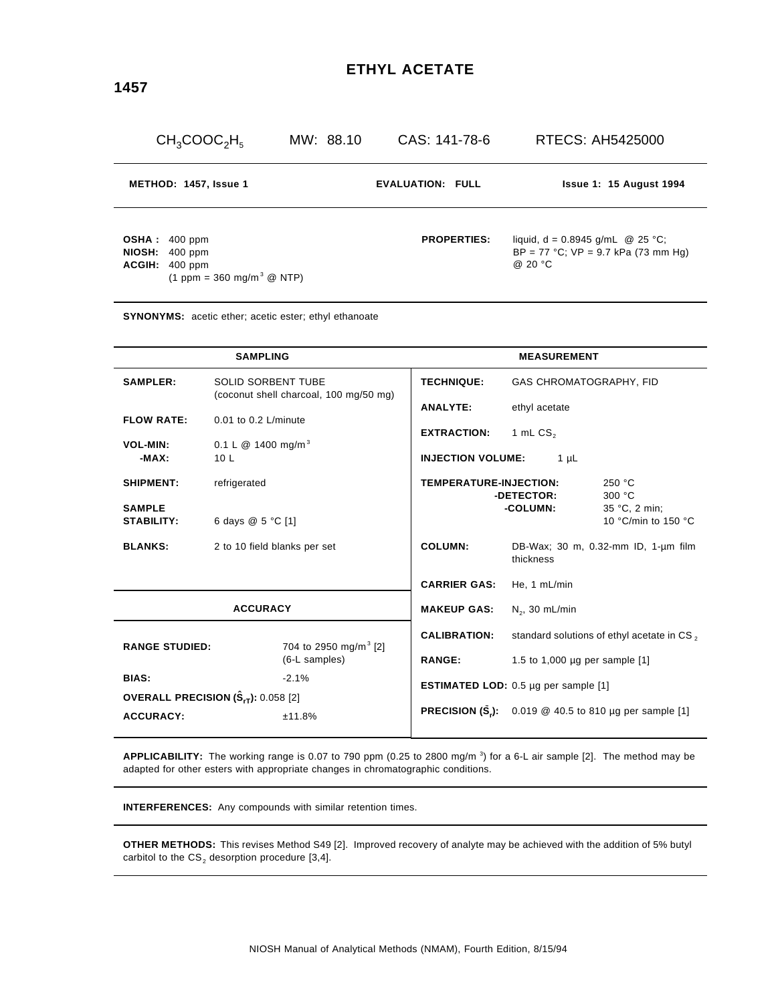| $CH_3COOC_2H_5$                                                                              | MW: 88.10 | CAS: 141-78-6           | RTECS: AH5425000                                                                                 |  |
|----------------------------------------------------------------------------------------------|-----------|-------------------------|--------------------------------------------------------------------------------------------------|--|
| METHOD: 1457, Issue 1                                                                        |           | <b>EVALUATION: FULL</b> | <b>Issue 1: 15 August 1994</b>                                                                   |  |
| OSHA: 400 ppm<br>NIOSH: 400 ppm<br>ACGIH: 400 ppm<br>$(1$ ppm = 360 mg/m <sup>3</sup> @ NTP) |           | <b>PROPERTIES:</b>      | liquid, $d = 0.8945$ g/mL $\omega$ 25 °C;<br>$BP = 77 °C$ ; $VP = 9.7 kPa$ (73 mm Hg)<br>@ 20 °C |  |

**SYNONYMS:** acetic ether; acetic ester; ethyl ethanoate

| <b>SAMPLING</b>                                                                    |                                                                                                                                                        | <b>MEASUREMENT</b>                   |                                       |                                                   |                                                                            |  |
|------------------------------------------------------------------------------------|--------------------------------------------------------------------------------------------------------------------------------------------------------|--------------------------------------|---------------------------------------|---------------------------------------------------|----------------------------------------------------------------------------|--|
| <b>SAMPLER:</b>                                                                    | <b>SOLID SORBENT TUBE</b><br>(coconut shell charcoal, 100 mg/50 mg)<br>$0.01$ to $0.2$ L/minute<br>0.1 L $@$ 1400 mg/m <sup>3</sup><br>10 <sub>L</sub> |                                      | <b>TECHNIQUE:</b>                     | GAS CHROMATOGRAPHY, FID                           |                                                                            |  |
| <b>FLOW RATE:</b>                                                                  |                                                                                                                                                        |                                      | <b>ANALYTE:</b>                       | ethyl acetate<br><b>EXTRACTION:</b><br>1 mL $CS2$ |                                                                            |  |
| <b>VOL-MIN:</b><br>$-MAX:$                                                         |                                                                                                                                                        |                                      | <b>INJECTION VOLUME:</b><br>1 $\mu$ L |                                                   |                                                                            |  |
| <b>SHIPMENT:</b>                                                                   | refrigerated<br>6 days @ 5 °C [1]                                                                                                                      |                                      | <b>TEMPERATURE-INJECTION:</b>         | -DETECTOR:                                        | 250 °C<br>300 °C<br>35 °C, 2 min;<br>10 $\degree$ C/min to 150 $\degree$ C |  |
| <b>SAMPLE</b><br><b>STABILITY:</b>                                                 |                                                                                                                                                        |                                      |                                       | -COLUMN:                                          |                                                                            |  |
| <b>BLANKS:</b>                                                                     | 2 to 10 field blanks per set                                                                                                                           |                                      | <b>COLUMN:</b>                        | DB-Wax; 30 m, 0.32-mm ID, 1-um film<br>thickness  |                                                                            |  |
|                                                                                    |                                                                                                                                                        | <b>CARRIER GAS:</b>                  | He, 1 mL/min                          |                                                   |                                                                            |  |
| <b>ACCURACY</b>                                                                    |                                                                                                                                                        | <b>MAKEUP GAS:</b>                   | $N_2$ , 30 mL/min                     |                                                   |                                                                            |  |
| <b>RANGE STUDIED:</b>                                                              |                                                                                                                                                        | 704 to 2950 mg/m <sup>3</sup> [2]    | <b>CALIBRATION:</b>                   | standard solutions of ethyl acetate in CS,        |                                                                            |  |
|                                                                                    |                                                                                                                                                        | (6-L samples)                        | <b>RANGE:</b>                         | 1.5 to 1,000 µg per sample [1]                    |                                                                            |  |
| <b>BIAS:</b><br>$-2.1%$<br>OVERALL PRECISION $(\hat{\mathbf{S}}_{rT})$ : 0.058 [2] |                                                                                                                                                        | ESTIMATED LOD: 0.5 µg per sample [1] |                                       |                                                   |                                                                            |  |
| <b>ACCURACY:</b>                                                                   |                                                                                                                                                        | ±11.8%                               |                                       |                                                   | <b>PRECISION (S.):</b> 0.019 $@$ 40.5 to 810 µg per sample [1]             |  |

**APPLICABILITY:** The working range is 0.07 to 790 ppm (0.25 to 2800 mg/m <sup>3</sup> ) for a 6-L air sample [2]. The method may be adapted for other esters with appropriate changes in chromatographic conditions.

**INTERFERENCES:** Any compounds with similar retention times.

**OTHER METHODS:** This revises Method S49 [2]. Improved recovery of analyte may be achieved with the addition of 5% butyl carbitol to the  $\mathtt{CS}_2$  desorption procedure [3,4].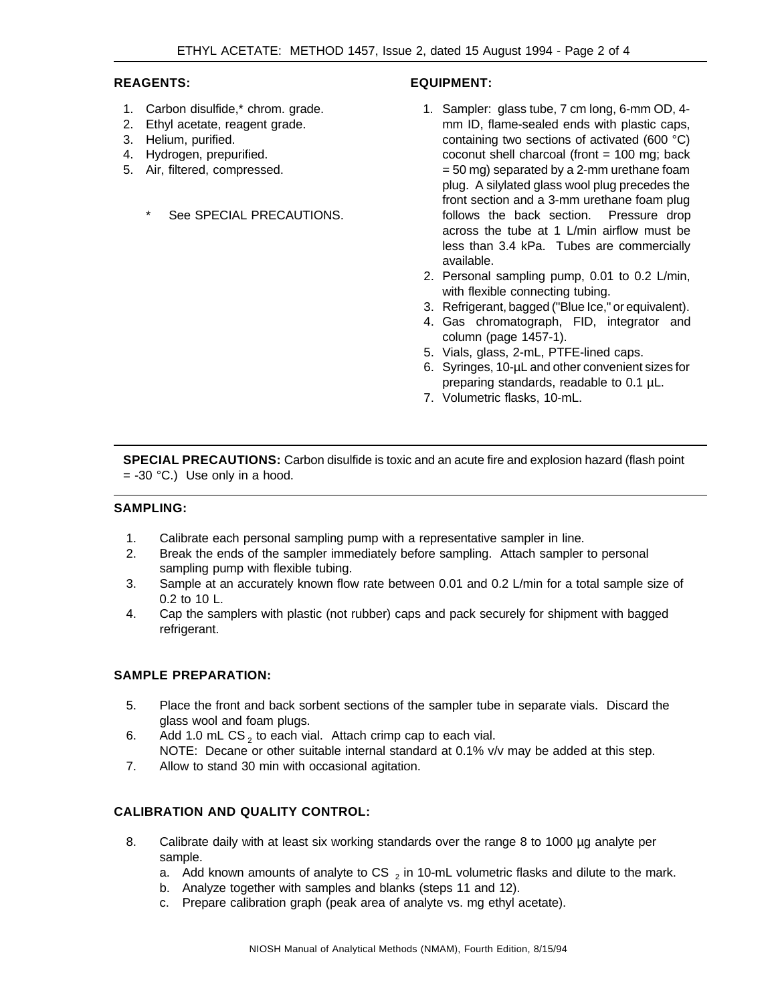### **REAGENTS:**

- 1. Carbon disulfide,\* chrom. grade.
- 2. Ethyl acetate, reagent grade.
- 3. Helium, purified.
- 4. Hydrogen, prepurified.
- 5. Air, filtered, compressed.
	- See SPECIAL PRECAUTIONS.

# **EQUIPMENT:**

- 1. Sampler: glass tube, 7 cm long, 6-mm OD, 4 mm ID, flame-sealed ends with plastic caps, containing two sections of activated (600 °C) coconut shell charcoal (front = 100 mg; back = 50 mg) separated by a 2-mm urethane foam plug. A silylated glass wool plug precedes the front section and a 3-mm urethane foam plug follows the back section. Pressure drop across the tube at 1 L/min airflow must be less than 3.4 kPa. Tubes are commercially available.
- 2. Personal sampling pump, 0.01 to 0.2 L/min, with flexible connecting tubing.
- 3. Refrigerant, bagged ("Blue Ice," or equivalent).
- 4. Gas chromatograph, FID, integrator and column (page 1457-1).
- 5. Vials, glass, 2-mL, PTFE-lined caps.
- 6. Syringes, 10-µL and other convenient sizes for preparing standards, readable to 0.1 µL.
- 7. Volumetric flasks, 10-mL.

**SPECIAL PRECAUTIONS:** Carbon disulfide is toxic and an acute fire and explosion hazard (flash point  $= -30$  °C.) Use only in a hood.

### **SAMPLING:**

- 1. Calibrate each personal sampling pump with a representative sampler in line.
- 2. Break the ends of the sampler immediately before sampling. Attach sampler to personal sampling pump with flexible tubing.
- 3. Sample at an accurately known flow rate between 0.01 and 0.2 L/min for a total sample size of 0.2 to 10 L.
- 4. Cap the samplers with plastic (not rubber) caps and pack securely for shipment with bagged refrigerant.

# **SAMPLE PREPARATION:**

- 5. Place the front and back sorbent sections of the sampler tube in separate vials. Discard the glass wool and foam plugs.
- 6. Add 1.0 mL CS<sub>2</sub> to each vial. Attach crimp cap to each vial. NOTE: Decane or other suitable internal standard at 0.1% v/v may be added at this step.
- 7. Allow to stand 30 min with occasional agitation.

# **CALIBRATION AND QUALITY CONTROL:**

- 8. Calibrate daily with at least six working standards over the range 8 to 1000 µg analyte per sample.
	- a. Add known amounts of analyte to CS  $_2$  in 10-mL volumetric flasks and dilute to the mark.
	- b. Analyze together with samples and blanks (steps 11 and 12).
	- c. Prepare calibration graph (peak area of analyte vs. mg ethyl acetate).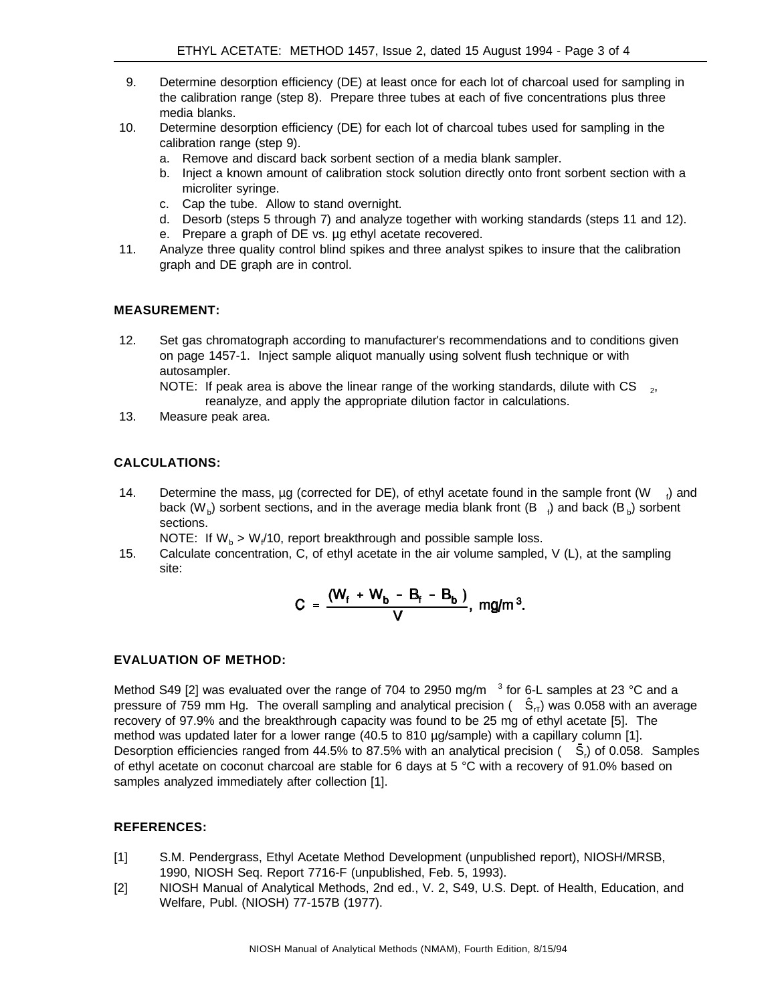- 9. Determine desorption efficiency (DE) at least once for each lot of charcoal used for sampling in the calibration range (step 8). Prepare three tubes at each of five concentrations plus three media blanks.
- 10. Determine desorption efficiency (DE) for each lot of charcoal tubes used for sampling in the calibration range (step 9).
	- a. Remove and discard back sorbent section of a media blank sampler.
	- b. Inject a known amount of calibration stock solution directly onto front sorbent section with a microliter syringe.
	- c. Cap the tube. Allow to stand overnight.
	- d. Desorb (steps 5 through 7) and analyze together with working standards (steps 11 and 12).
	- e. Prepare a graph of DE vs. µg ethyl acetate recovered.
- 11. Analyze three quality control blind spikes and three analyst spikes to insure that the calibration graph and DE graph are in control.

### **MEASUREMENT:**

12. Set gas chromatograph according to manufacturer's recommendations and to conditions given on page 1457-1. Inject sample aliquot manually using solvent flush technique or with autosampler.

NOTE: If peak area is above the linear range of the working standards, dilute with CS  $_{2}$ , reanalyze, and apply the appropriate dilution factor in calculations.

13. Measure peak area.

# **CALCULATIONS:**

14. Determine the mass,  $\mu$ g (corrected for DE), of ethyl acetate found in the sample front (W  $_{\ell}$ ) and back (W<sub>b</sub>) sorbent sections, and in the average media blank front (B  $_{\rm f}$ ) and back (B<sub>b</sub>) sorbent sections.

NOTE: If  $W_{b} > W_{f}$  10, report breakthrough and possible sample loss.

15. Calculate concentration, C, of ethyl acetate in the air volume sampled, V (L), at the sampling site:

$$
C = \frac{(W_f + W_b - B_f - B_b)}{V}
$$
,  $mg/m^3$ .

#### **EVALUATION OF METHOD:**

Method S49 [2] was evaluated over the range of 704 to 2950 mg/m  $^{-3}$  for 6-L samples at 23 °C and a pressure of 759 mm Hg. The overall sampling and analytical precision ( $\hat{\mathsf{S}}_{\sf r}$ ) was 0.058 with an average recovery of 97.9% and the breakthrough capacity was found to be 25 mg of ethyl acetate [5]. The method was updated later for a lower range (40.5 to 810 µg/sample) with a capillary column [1]. Desorption efficiencies ranged from 44.5% to 87.5% with an analytical precision ( $S<sub>r</sub>$ ) of 0.058. Samples of ethyl acetate on coconut charcoal are stable for 6 days at 5 °C with a recovery of 91.0% based on samples analyzed immediately after collection [1].

#### **REFERENCES:**

- [1] S.M. Pendergrass, Ethyl Acetate Method Development (unpublished report), NIOSH/MRSB, 1990, NIOSH Seq. Report 7716-F (unpublished, Feb. 5, 1993).
- [2] NIOSH Manual of Analytical Methods, 2nd ed., V. 2, S49, U.S. Dept. of Health, Education, and Welfare, Publ. (NIOSH) 77-157B (1977).